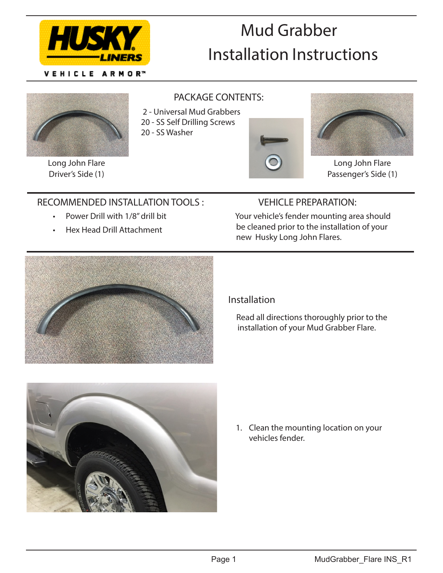

VEHICLE ARMOR™

# Mud Grabber Installation Instructions



Long John Flare Driver's Side (1)

#### PACKAGE CONTENTS:

2 - Universal Mud Grabbers

- 20 SS Self Drilling Screws
- 
- 20 SS Washer





Long John Flare Passenger's Side (1)

## RECOMMENDED INSTALLATION TOOLS :

- Power Drill with 1/8" drill bit
- Hex Head Drill Attachment

## VEHICLE PREPARATION:

 Your vehicle's fender mounting area should be cleaned prior to the installation of your new Husky Long John Flares.



#### Installation

 Read all directions thoroughly prior to the installation of your Mud Grabber Flare.



1. Clean the mounting location on your vehicles fender.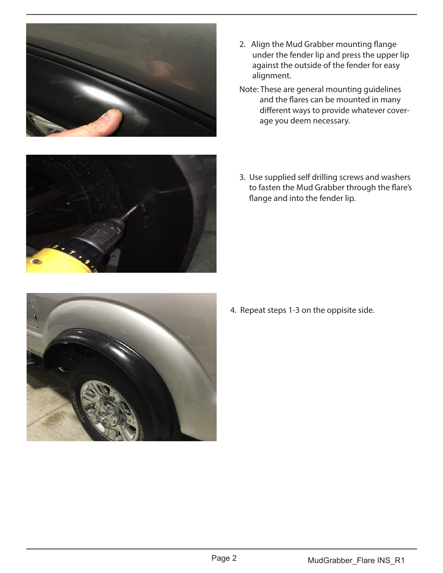

- 2. Align the Mud Grabber mounting flange under the fender lip and press the upper lip against the outside of the fender for easy alignment.
- Note: These are general mounting guidelines and the flares can be mounted in many different ways to provide whatever cover age you deem necessary.



3. Use supplied self drilling screws and washers to fasten the Mud Grabber through the flare's flange and into the fender lip.



4. Repeat steps 1-3 on the oppisite side.